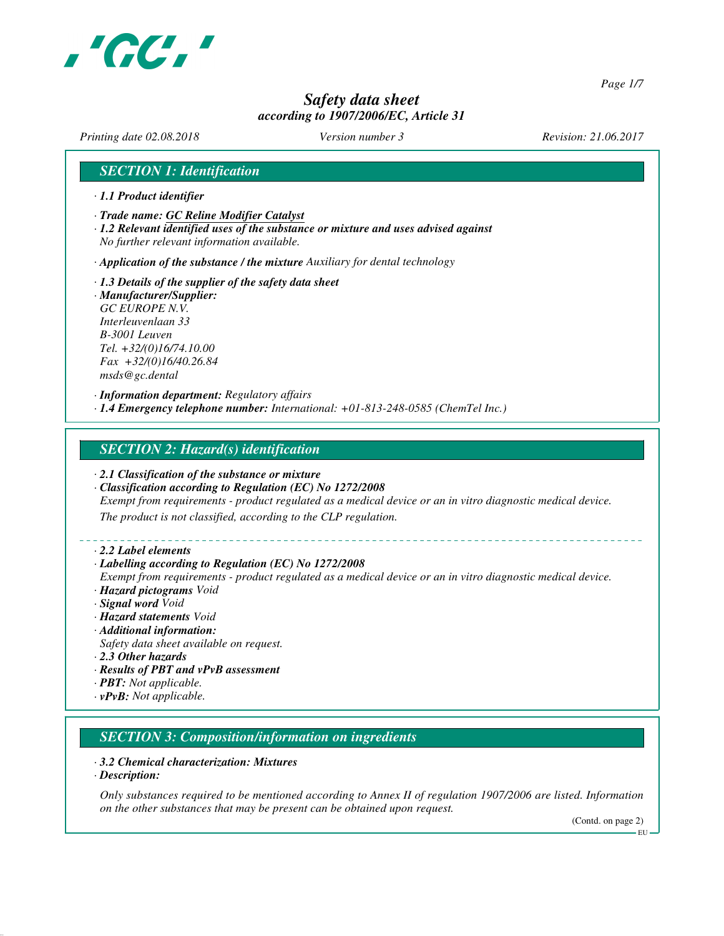

*Page 1/7*

# *Safety data sheet according to 1907/2006/EC, Article 31*

*Printing date 02.08.2018 Version number 3 Revision: 21.06.2017*

## *SECTION 1: Identification*

- *· 1.1 Product identifier*
- *· Trade name: GC Reline Modifier Catalyst*
- *· 1.2 Relevant identified uses of the substance or mixture and uses advised against No further relevant information available.*
- *· Application of the substance / the mixture Auxiliary for dental technology*
- *· 1.3 Details of the supplier of the safety data sheet · Manufacturer/Supplier: GC EUROPE N.V. Interleuvenlaan 33 B-3001 Leuven Tel. +32/(0)16/74.10.00 Fax +32/(0)16/40.26.84 msds@gc.dental*

*· Information department: Regulatory affairs · 1.4 Emergency telephone number: International: +01-813-248-0585 (ChemTel Inc.)*

## *SECTION 2: Hazard(s) identification*

- *· 2.1 Classification of the substance or mixture*
- *· Classification according to Regulation (EC) No 1272/2008*
- *Exempt from requirements product regulated as a medical device or an in vitro diagnostic medical device.*

*The product is not classified, according to the CLP regulation.*

#### *· 2.2 Label elements*

#### *· Labelling according to Regulation (EC) No 1272/2008*

- *Exempt from requirements product regulated as a medical device or an in vitro diagnostic medical device. · Hazard pictograms Void*
- *· Signal word Void*
- *· Hazard statements Void*
- *· Additional information:*
- *Safety data sheet available on request.*
- *· 2.3 Other hazards*
- *· Results of PBT and vPvB assessment*
- *· PBT: Not applicable.*
- *· vPvB: Not applicable.*

## *SECTION 3: Composition/information on ingredients*

#### *· 3.2 Chemical characterization: Mixtures*

*· Description:*

*Only substances required to be mentioned according to Annex II of regulation 1907/2006 are listed. Information on the other substances that may be present can be obtained upon request.*

(Contd. on page 2)

EU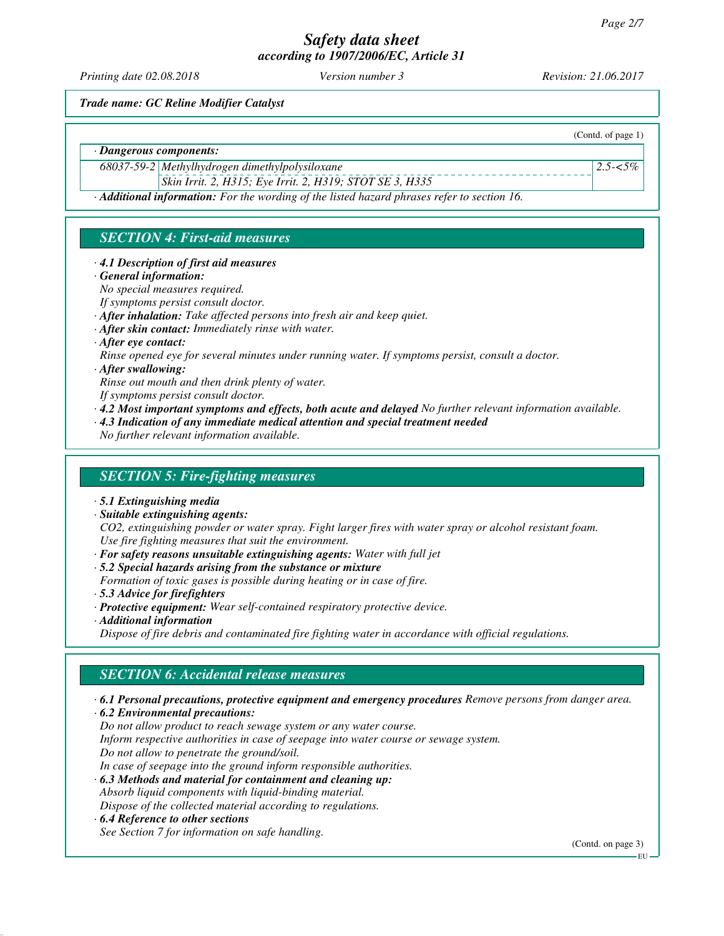*Printing date 02.08.2018 Version number 3 Revision: 21.06.2017*

(Contd. of page 1)

*2.5-<5%*

*Trade name: GC Reline Modifier Catalyst*

*· Dangerous components:*

*68037-59-2 Methylhydrogen dimethylpolysiloxane*

*Skin Irrit. 2, H315; Eye Irrit. 2, H319; STOT SE 3, H335*

*· Additional information: For the wording of the listed hazard phrases refer to section 16.*

# *SECTION 4: First-aid measures*

#### *· 4.1 Description of first aid measures*

*· General information:*

*No special measures required.*

- *If symptoms persist consult doctor.*
- *· After inhalation: Take affected persons into fresh air and keep quiet.*
- *· After skin contact: Immediately rinse with water.*
- *· After eye contact:*
- *Rinse opened eye for several minutes under running water. If symptoms persist, consult a doctor.*
- *· After swallowing:*
- *Rinse out mouth and then drink plenty of water.*
- *If symptoms persist consult doctor.*
- *· 4.2 Most important symptoms and effects, both acute and delayed No further relevant information available.*
- *· 4.3 Indication of any immediate medical attention and special treatment needed*

*No further relevant information available.*

## *SECTION 5: Fire-fighting measures*

- *· 5.1 Extinguishing media*
- *· Suitable extinguishing agents:*

*CO2, extinguishing powder or water spray. Fight larger fires with water spray or alcohol resistant foam. Use fire fighting measures that suit the environment.*

- *· For safety reasons unsuitable extinguishing agents: Water with full jet*
- *· 5.2 Special hazards arising from the substance or mixture*
- *Formation of toxic gases is possible during heating or in case of fire.*
- *· 5.3 Advice for firefighters*
- *· Protective equipment: Wear self-contained respiratory protective device.*
- *· Additional information*

*Dispose of fire debris and contaminated fire fighting water in accordance with official regulations.*

# *SECTION 6: Accidental release measures*

- *· 6.1 Personal precautions, protective equipment and emergency procedures Remove persons from danger area.*
- *· 6.2 Environmental precautions:*

*Do not allow product to reach sewage system or any water course.*

*Inform respective authorities in case of seepage into water course or sewage system.*

*Do not allow to penetrate the ground/soil.*

- *In case of seepage into the ground inform responsible authorities.*
- *· 6.3 Methods and material for containment and cleaning up:*

*Absorb liquid components with liquid-binding material.*

*Dispose of the collected material according to regulations.*

*· 6.4 Reference to other sections*

*See Section 7 for information on safe handling.*

(Contd. on page 3)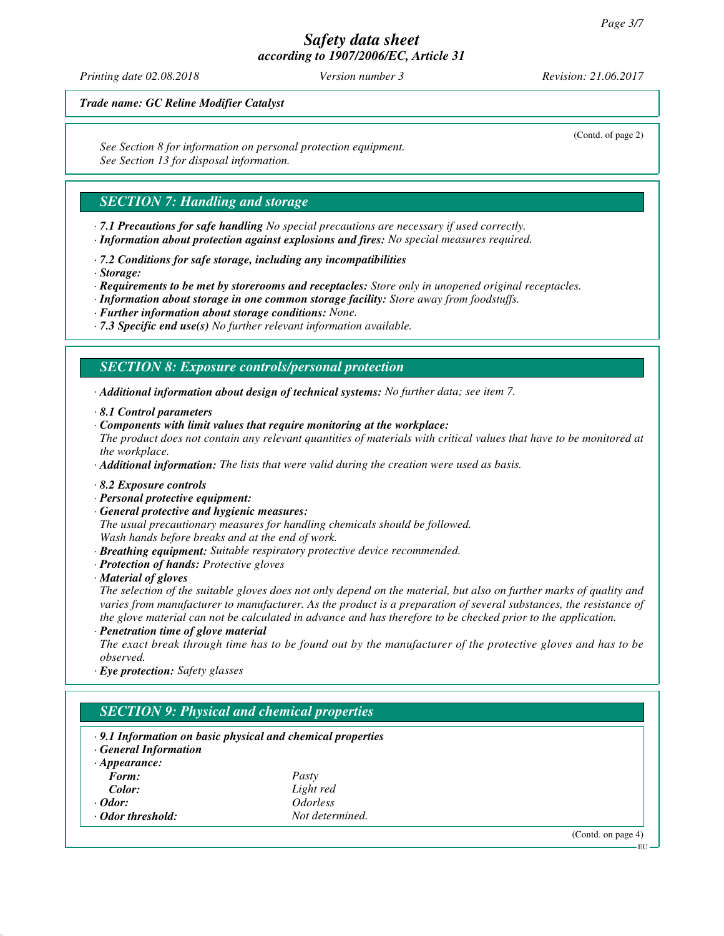*Printing date 02.08.2018 Version number 3 Revision: 21.06.2017*

(Contd. of page 2)

*Trade name: GC Reline Modifier Catalyst*

*See Section 8 for information on personal protection equipment. See Section 13 for disposal information.*

## *SECTION 7: Handling and storage*

- *· 7.1 Precautions for safe handling No special precautions are necessary if used correctly.*
- *· Information about protection against explosions and fires: No special measures required.*
- *· 7.2 Conditions for safe storage, including any incompatibilities*
- *· Storage:*
- *· Requirements to be met by storerooms and receptacles: Store only in unopened original receptacles.*
- *· Information about storage in one common storage facility: Store away from foodstuffs.*
- *· Further information about storage conditions: None.*
- *· 7.3 Specific end use(s) No further relevant information available.*

## *SECTION 8: Exposure controls/personal protection*

*· Additional information about design of technical systems: No further data; see item 7.*

- *· 8.1 Control parameters*
- *· Components with limit values that require monitoring at the workplace:*
- *The product does not contain any relevant quantities of materials with critical values that have to be monitored at the workplace.*

*· Additional information: The lists that were valid during the creation were used as basis.*

- *· 8.2 Exposure controls*
- *· Personal protective equipment:*
- *· General protective and hygienic measures:*

*The usual precautionary measures for handling chemicals should be followed. Wash hands before breaks and at the end of work.*

- *· Breathing equipment: Suitable respiratory protective device recommended.*
- *· Protection of hands: Protective gloves*
- *· Material of gloves*

*The selection of the suitable gloves does not only depend on the material, but also on further marks of quality and varies from manufacturer to manufacturer. As the product is a preparation of several substances, the resistance of the glove material can not be calculated in advance and has therefore to be checked prior to the application.*

*· Penetration time of glove material*

*The exact break through time has to be found out by the manufacturer of the protective gloves and has to be observed.*

*· Eye protection: Safety glasses*

| $\cdot$ 9.1 Information on basic physical and chemical properties<br><b>General Information</b> |                               |  |  |
|-------------------------------------------------------------------------------------------------|-------------------------------|--|--|
| $\cdot$ Appearance:                                                                             |                               |  |  |
| Form:                                                                                           | Pasty                         |  |  |
| Color:                                                                                          | Light red                     |  |  |
| $\cdot$ Odor:                                                                                   | <i><u><b>Odorless</b></u></i> |  |  |
| Odor threshold:                                                                                 | Not determined.               |  |  |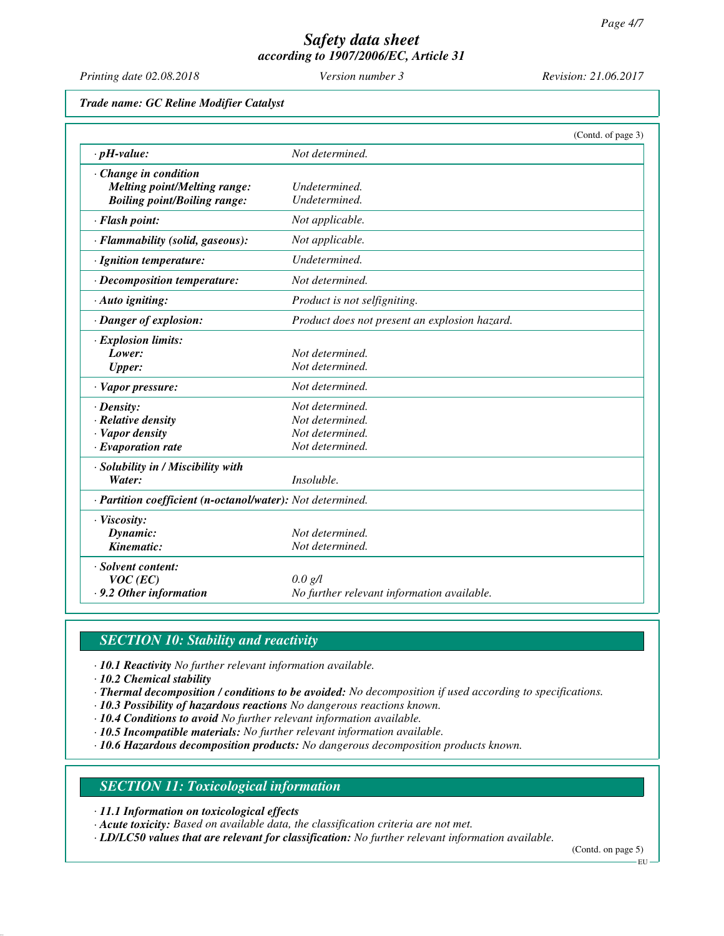*Printing date 02.08.2018 Version number 3 Revision: 21.06.2017*

*Trade name: GC Reline Modifier Catalyst*

|                                                            |                                               | (Contd. of page 3) |
|------------------------------------------------------------|-----------------------------------------------|--------------------|
| $\cdot$ pH-value:                                          | Not determined.                               |                    |
| Change in condition                                        |                                               |                    |
| <b>Melting point/Melting range:</b>                        | Undetermined.                                 |                    |
| <b>Boiling point/Boiling range:</b>                        | Undetermined.                                 |                    |
| · Flash point:                                             | Not applicable.                               |                    |
| · Flammability (solid, gaseous):                           | Not applicable.                               |                    |
| · Ignition temperature:                                    | Undetermined.                                 |                    |
| $\cdot$ Decomposition temperature:                         | Not determined.                               |                    |
| · Auto igniting:                                           | Product is not selfigniting.                  |                    |
| · Danger of explosion:                                     | Product does not present an explosion hazard. |                    |
| · Explosion limits:                                        |                                               |                    |
| Lower:                                                     | Not determined.                               |                    |
| <b>Upper:</b>                                              | Not determined.                               |                    |
| · Vapor pressure:                                          | Not determined.                               |                    |
| $\cdot$ Density:                                           | Not determined.                               |                    |
| · Relative density                                         | Not determined.                               |                    |
| · Vapor density                                            | Not determined.                               |                    |
| $\cdot$ Evaporation rate                                   | Not determined.                               |                    |
| · Solubility in / Miscibility with                         |                                               |                    |
| Water:                                                     | <i>Insoluble.</i>                             |                    |
| · Partition coefficient (n-octanol/water): Not determined. |                                               |                    |
| · Viscosity:                                               |                                               |                    |
| Dynamic:                                                   | Not determined.                               |                    |
| Kinematic:                                                 | Not determined.                               |                    |
| · Solvent content:                                         |                                               |                    |
| $VOC$ (EC)                                                 | $0.0 \text{ g/l}$                             |                    |
| .9.2 Other information                                     | No further relevant information available.    |                    |

# *SECTION 10: Stability and reactivity*

*· 10.1 Reactivity No further relevant information available.*

*· 10.2 Chemical stability*

- *· Thermal decomposition / conditions to be avoided: No decomposition if used according to specifications.*
- *· 10.3 Possibility of hazardous reactions No dangerous reactions known.*
- *· 10.4 Conditions to avoid No further relevant information available.*
- *· 10.5 Incompatible materials: No further relevant information available.*
- *· 10.6 Hazardous decomposition products: No dangerous decomposition products known.*

## *SECTION 11: Toxicological information*

*· 11.1 Information on toxicological effects*

*· Acute toxicity: Based on available data, the classification criteria are not met.*

*· LD/LC50 values that are relevant for classification: No further relevant information available.*

(Contd. on page 5)

EU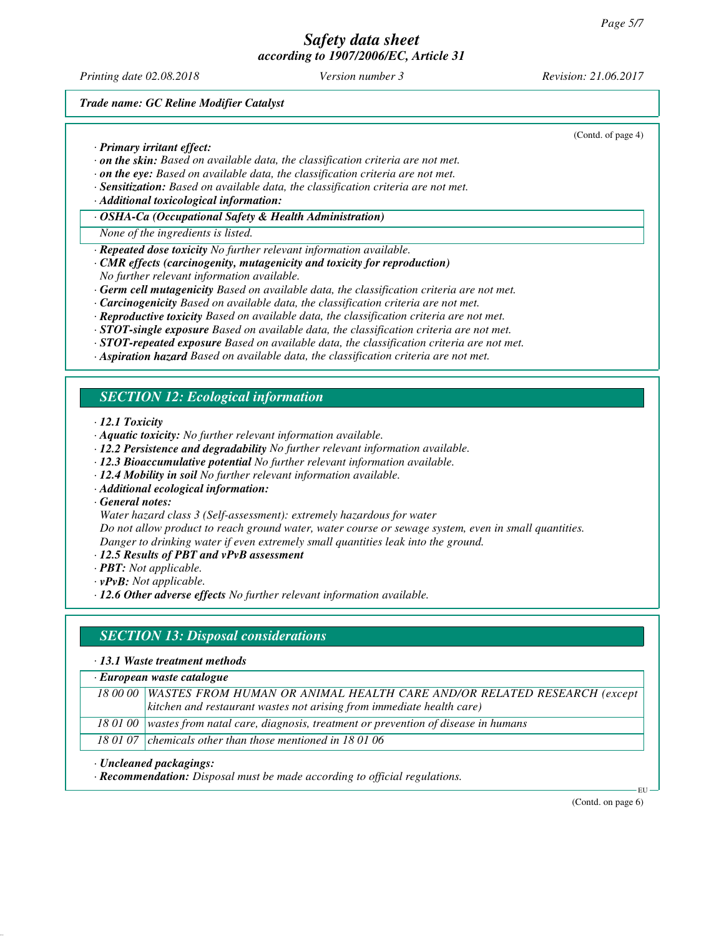*Printing date 02.08.2018 Version number 3 Revision: 21.06.2017*

(Contd. of page 4)

*Trade name: GC Reline Modifier Catalyst*

*· Primary irritant effect:*

- *· on the skin: Based on available data, the classification criteria are not met.*
- *· on the eye: Based on available data, the classification criteria are not met.*
- *· Sensitization: Based on available data, the classification criteria are not met.*
- *· Additional toxicological information:*
- *· OSHA-Ca (Occupational Safety & Health Administration)*
- *None of the ingredients is listed.*
- *· Repeated dose toxicity No further relevant information available.*
- *· CMR effects (carcinogenity, mutagenicity and toxicity for reproduction)*
- *No further relevant information available.*
- *· Germ cell mutagenicity Based on available data, the classification criteria are not met.*
- *· Carcinogenicity Based on available data, the classification criteria are not met.*
- *· Reproductive toxicity Based on available data, the classification criteria are not met.*
- *· STOT-single exposure Based on available data, the classification criteria are not met.*
- *· STOT-repeated exposure Based on available data, the classification criteria are not met.*
- *· Aspiration hazard Based on available data, the classification criteria are not met.*

# *SECTION 12: Ecological information*

*· 12.1 Toxicity*

- *· Aquatic toxicity: No further relevant information available.*
- *· 12.2 Persistence and degradability No further relevant information available.*
- *· 12.3 Bioaccumulative potential No further relevant information available.*
- *· 12.4 Mobility in soil No further relevant information available.*
- *· Additional ecological information:*

*· General notes:*

*Water hazard class 3 (Self-assessment): extremely hazardous for water*

*Do not allow product to reach ground water, water course or sewage system, even in small quantities. Danger to drinking water if even extremely small quantities leak into the ground.*

- *· 12.5 Results of PBT and vPvB assessment*
- *· PBT: Not applicable.*

*· vPvB: Not applicable.*

*· 12.6 Other adverse effects No further relevant information available.*

## *SECTION 13: Disposal considerations*

*· 13.1 Waste treatment methods*

*· European waste catalogue*

*18 00 00 WASTES FROM HUMAN OR ANIMAL HEALTH CARE AND/OR RELATED RESEARCH (except kitchen and restaurant wastes not arising from immediate health care)*

*18 01 00 wastes from natal care, diagnosis, treatment or prevention of disease in humans*

*18 01 07 chemicals other than those mentioned in 18 01 06*

*· Uncleaned packagings:*

*· Recommendation: Disposal must be made according to official regulations.*

(Contd. on page 6)

EU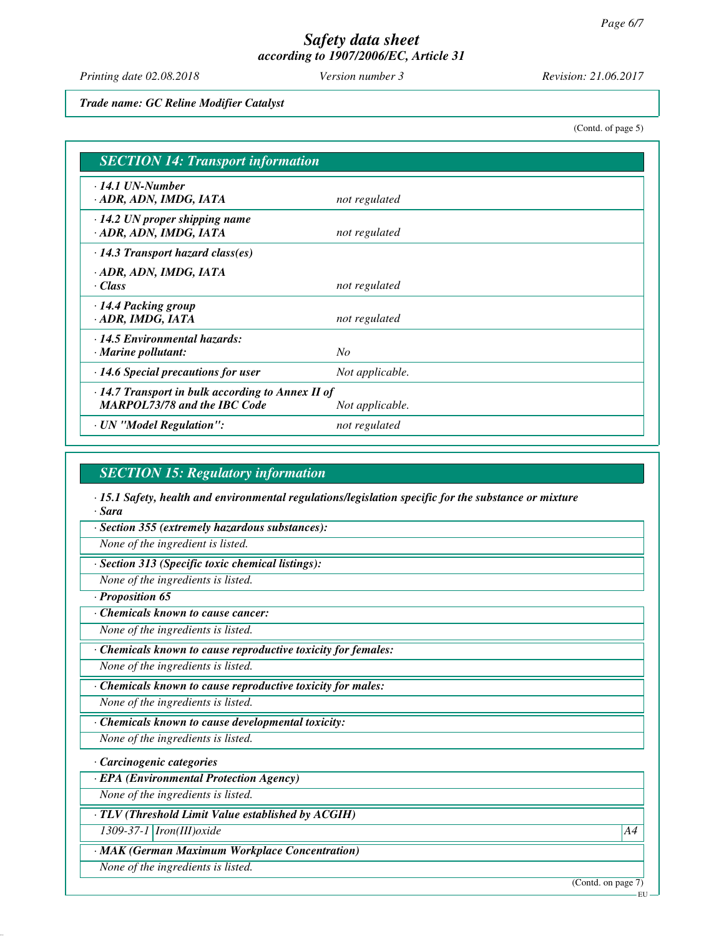*Printing date 02.08.2018 Version number 3 Revision: 21.06.2017*

*Trade name: GC Reline Modifier Catalyst*

(Contd. of page 5)

| <b>SECTION 14: Transport information</b>                                                       |                 |  |
|------------------------------------------------------------------------------------------------|-----------------|--|
| $\cdot$ 14.1 UN-Number<br>ADR, ADN, IMDG, IATA                                                 | not regulated   |  |
| $\cdot$ 14.2 UN proper shipping name<br>· ADR, ADN, IMDG, IATA                                 | not regulated   |  |
| $\cdot$ 14.3 Transport hazard class(es)                                                        |                 |  |
| · ADR, ADN, IMDG, IATA<br>· Class                                                              | not regulated   |  |
| $\cdot$ 14.4 Packing group<br>· ADR, IMDG, IATA                                                | not regulated   |  |
| $\cdot$ 14.5 Environmental hazards:<br>$\cdot$ Marine pollutant:                               | No              |  |
| $\cdot$ 14.6 Special precautions for user                                                      | Not applicable. |  |
| $\cdot$ 14.7 Transport in bulk according to Annex II of<br><b>MARPOL73/78 and the IBC Code</b> | Not applicable. |  |
| · UN "Model Regulation":                                                                       | not regulated   |  |

## *SECTION 15: Regulatory information*

*· 15.1 Safety, health and environmental regulations/legislation specific for the substance or mixture · Sara*

*· Section 355 (extremely hazardous substances):*

*None of the ingredient is listed.*

*· Section 313 (Specific toxic chemical listings):*

*None of the ingredients is listed.*

*· Proposition 65*

*· Chemicals known to cause cancer:*

*None of the ingredients is listed.*

*· Chemicals known to cause reproductive toxicity for females:*

*None of the ingredients is listed.*

*· Chemicals known to cause reproductive toxicity for males:*

*None of the ingredients is listed.*

*· Chemicals known to cause developmental toxicity:*

*None of the ingredients is listed.*

*· Carcinogenic categories*

*· EPA (Environmental Protection Agency)*

*None of the ingredients is listed.*

*· TLV (Threshold Limit Value established by ACGIH)*

*1309-37-1 Iron(III)oxide A4*

*· MAK (German Maximum Workplace Concentration)*

*None of the ingredients is listed.*

(Contd. on page 7)

EU